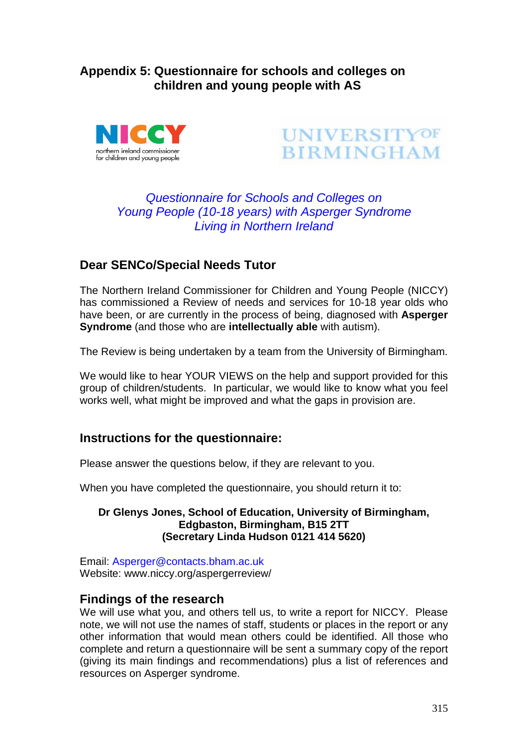# **Appendix 5: Questionnaire for schools and colleges on children and young people with AS**





# *Questionnaire for Schools and Colleges on Young People (10-18 years) with Asperger Syndrome Living in Northern Ireland*

# **Dear SENCo/Special Needs Tutor**

The Northern Ireland Commissioner for Children and Young People (NICCY) has commissioned a Review of needs and services for 10-18 year olds who have been, or are currently in the process of being, diagnosed with **Asperger Syndrome** (and those who are **intellectually able** with autism).

The Review is being undertaken by a team from the University of Birmingham.

We would like to hear YOUR VIEWS on the help and support provided for this group of children/students. In particular, we would like to know what you feel works well, what might be improved and what the gaps in provision are.

## **Instructions for the questionnaire:**

Please answer the questions below, if they are relevant to you.

When you have completed the questionnaire, you should return it to:

### **Dr Glenys Jones, School of Education, University of Birmingham, Edgbaston, Birmingham, B15 2TT (Secretary Linda Hudson 0121 414 5620)**

Email: Asperger@contacts.bham.ac.uk Website: www.niccy.org/aspergerreview/

# **Findings of the research**

We will use what you, and others tell us, to write a report for NICCY. Please note, we will not use the names of staff, students or places in the report or any other information that would mean others could be identified. All those who complete and return a questionnaire will be sent a summary copy of the report (giving its main findings and recommendations) plus a list of references and resources on Asperger syndrome.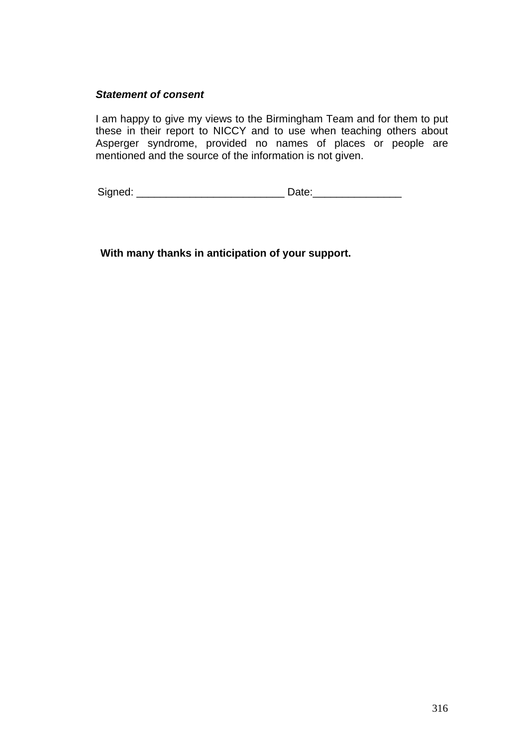#### *Statement of consent*

I am happy to give my views to the Birmingham Team and for them to put these in their report to NICCY and to use when teaching others about Asperger syndrome, provided no names of places or people are mentioned and the source of the information is not given.

Signed: \_\_\_\_\_\_\_\_\_\_\_\_\_\_\_\_\_\_\_\_\_\_\_\_\_ Date:\_\_\_\_\_\_\_\_\_\_\_\_\_\_\_

 **With many thanks in anticipation of your support.**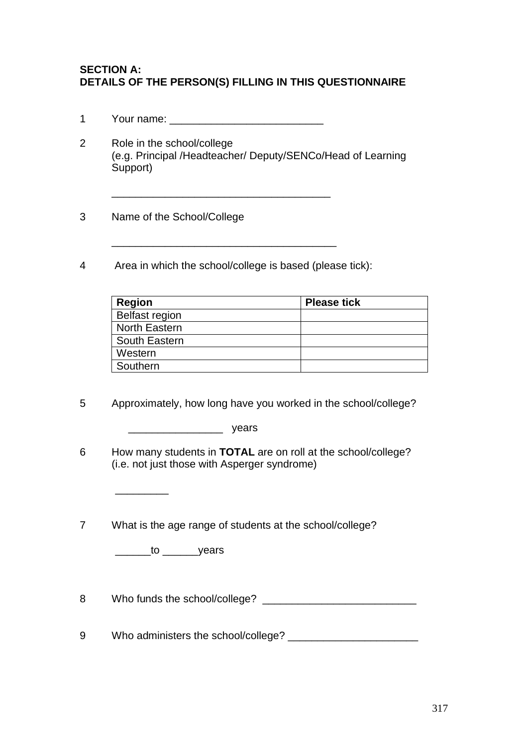### **SECTION A: DETAILS OF THE PERSON(S) FILLING IN THIS QUESTIONNAIRE**

- 1 Your name:  $\blacksquare$
- 2 Role in the school/college (e.g. Principal /Headteacher/ Deputy/SENCo/Head of Learning Support)

\_\_\_\_\_\_\_\_\_\_\_\_\_\_\_\_\_\_\_\_\_\_\_\_\_\_\_\_\_\_\_\_\_\_\_\_\_\_

- 3 Name of the School/College
- 4 Area in which the school/college is based (please tick):

| <b>Region</b>         | <b>Please tick</b> |
|-----------------------|--------------------|
| <b>Belfast region</b> |                    |
| North Eastern         |                    |
| South Eastern         |                    |
| Western               |                    |
| Southern              |                    |

5 Approximately, how long have you worked in the school/college?

 $\frac{1}{\sqrt{1-\frac{1}{2}}\sqrt{1-\frac{1}{2}}\sqrt{1-\frac{1}{2}}\sqrt{1-\frac{1}{2}}\sqrt{1-\frac{1}{2}}\sqrt{1-\frac{1}{2}}\sqrt{1-\frac{1}{2}}\sqrt{1-\frac{1}{2}}\sqrt{1-\frac{1}{2}}\sqrt{1-\frac{1}{2}}\sqrt{1-\frac{1}{2}}\sqrt{1-\frac{1}{2}}\sqrt{1-\frac{1}{2}}\sqrt{1-\frac{1}{2}}\sqrt{1-\frac{1}{2}}\sqrt{1-\frac{1}{2}}\sqrt{1-\frac{1}{2}}\sqrt{1-\frac{1}{2}}\sqrt{1-\frac{1}{2}}\sqrt{1-\frac$ 

- 6 How many students in **TOTAL** are on roll at the school/college? (i.e. not just those with Asperger syndrome)
- 7 What is the age range of students at the school/college?

to years

 $\overline{\phantom{a}}$  ,  $\overline{\phantom{a}}$  ,  $\overline{\phantom{a}}$  ,  $\overline{\phantom{a}}$  ,  $\overline{\phantom{a}}$  ,  $\overline{\phantom{a}}$  ,  $\overline{\phantom{a}}$  ,  $\overline{\phantom{a}}$  ,  $\overline{\phantom{a}}$  ,  $\overline{\phantom{a}}$  ,  $\overline{\phantom{a}}$  ,  $\overline{\phantom{a}}$  ,  $\overline{\phantom{a}}$  ,  $\overline{\phantom{a}}$  ,  $\overline{\phantom{a}}$  ,  $\overline{\phantom{a}}$ 

8 Who funds the school/college? \_\_\_\_\_\_\_\_\_\_\_\_\_\_\_\_\_\_\_\_\_\_\_\_\_\_

9 Who administers the school/college? \_\_\_\_\_\_\_\_\_\_\_\_\_\_\_\_\_\_\_\_\_\_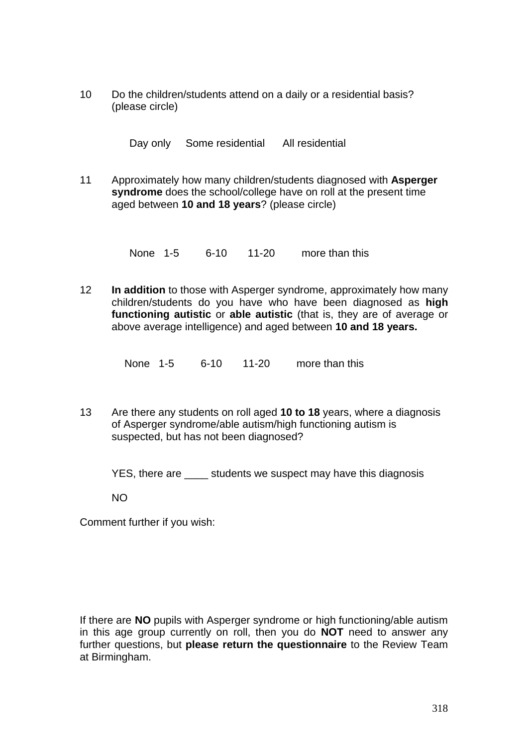10 Do the children/students attend on a daily or a residential basis? (please circle)

Day only Some residential All residential

11 Approximately how many children/students diagnosed with **Asperger syndrome** does the school/college have on roll at the present time aged between **10 and 18 years**? (please circle)

None 1-5 6-10 11-20 more than this

12 **In addition** to those with Asperger syndrome, approximately how many children/students do you have who have been diagnosed as **high functioning autistic** or **able autistic** (that is, they are of average or above average intelligence) and aged between **10 and 18 years.**

None 1-5 6-10 11-20 more than this

13 Are there any students on roll aged **10 to 18** years, where a diagnosis of Asperger syndrome/able autism/high functioning autism is suspected, but has not been diagnosed?

YES, there are students we suspect may have this diagnosis

NO

Comment further if you wish:

If there are **NO** pupils with Asperger syndrome or high functioning/able autism in this age group currently on roll, then you do **NOT** need to answer any further questions, but **please return the questionnaire** to the Review Team at Birmingham.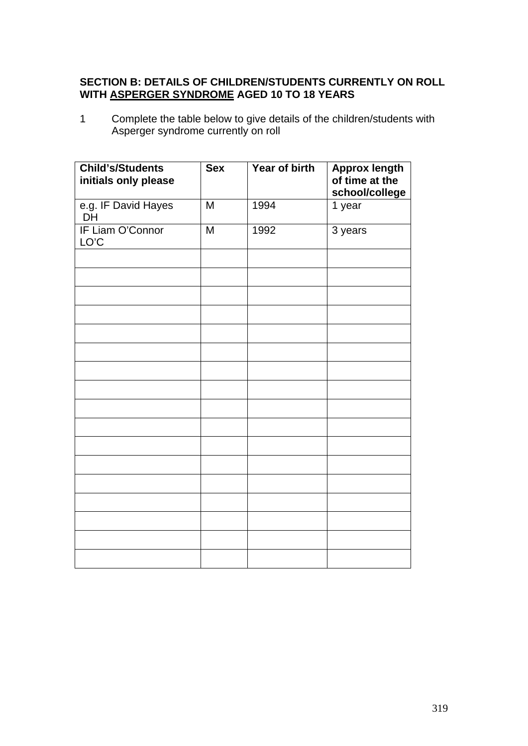# **SECTION B: DETAILS OF CHILDREN/STUDENTS CURRENTLY ON ROLL WITH ASPERGER SYNDROME AGED 10 TO 18 YEARS**

1 Complete the table below to give details of the children/students with Asperger syndrome currently on roll

| <b>Child's/Students</b><br>initials only please | <b>Sex</b> | Year of birth | <b>Approx length</b><br>of time at the<br>school/college |
|-------------------------------------------------|------------|---------------|----------------------------------------------------------|
| e.g. IF David Hayes<br><b>DH</b>                | M          | 1994          | 1 year                                                   |
| IF Liam O'Connor<br>LO'C                        | M          | 1992          | 3 years                                                  |
|                                                 |            |               |                                                          |
|                                                 |            |               |                                                          |
|                                                 |            |               |                                                          |
|                                                 |            |               |                                                          |
|                                                 |            |               |                                                          |
|                                                 |            |               |                                                          |
|                                                 |            |               |                                                          |
|                                                 |            |               |                                                          |
|                                                 |            |               |                                                          |
|                                                 |            |               |                                                          |
|                                                 |            |               |                                                          |
|                                                 |            |               |                                                          |
|                                                 |            |               |                                                          |
|                                                 |            |               |                                                          |
|                                                 |            |               |                                                          |
|                                                 |            |               |                                                          |
|                                                 |            |               |                                                          |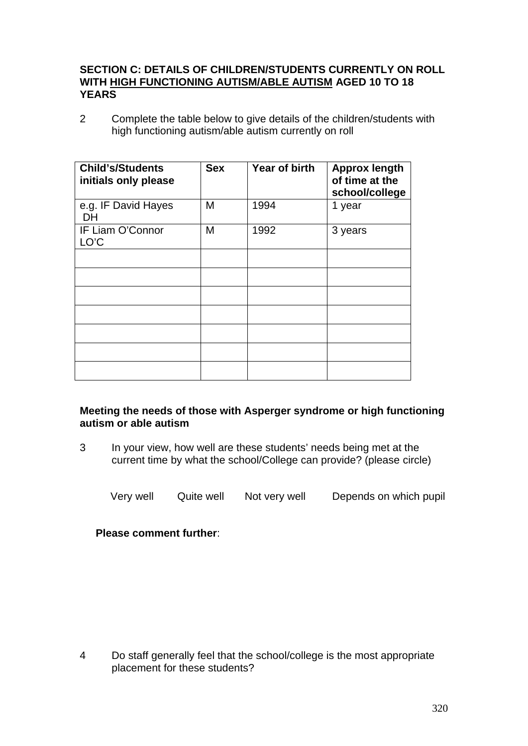### **SECTION C: DETAILS OF CHILDREN/STUDENTS CURRENTLY ON ROLL WITH HIGH FUNCTIONING AUTISM/ABLE AUTISM AGED 10 TO 18 YEARS**

2 Complete the table below to give details of the children/students with high functioning autism/able autism currently on roll

| <b>Child's/Students</b><br>initials only please | <b>Sex</b> | Year of birth | <b>Approx length</b><br>of time at the<br>school/college |
|-------------------------------------------------|------------|---------------|----------------------------------------------------------|
| e.g. IF David Hayes<br>DH                       | M          | 1994          | 1 year                                                   |
| IF Liam O'Connor<br>LO'C                        | M          | 1992          | 3 years                                                  |
|                                                 |            |               |                                                          |
|                                                 |            |               |                                                          |
|                                                 |            |               |                                                          |
|                                                 |            |               |                                                          |
|                                                 |            |               |                                                          |
|                                                 |            |               |                                                          |
|                                                 |            |               |                                                          |

### **Meeting the needs of those with Asperger syndrome or high functioning autism or able autism**

3 In your view, how well are these students' needs being met at the current time by what the school/College can provide? (please circle)

Very well Quite well Not very well Depends on which pupil

**Please comment further**:

4 Do staff generally feel that the school/college is the most appropriate placement for these students?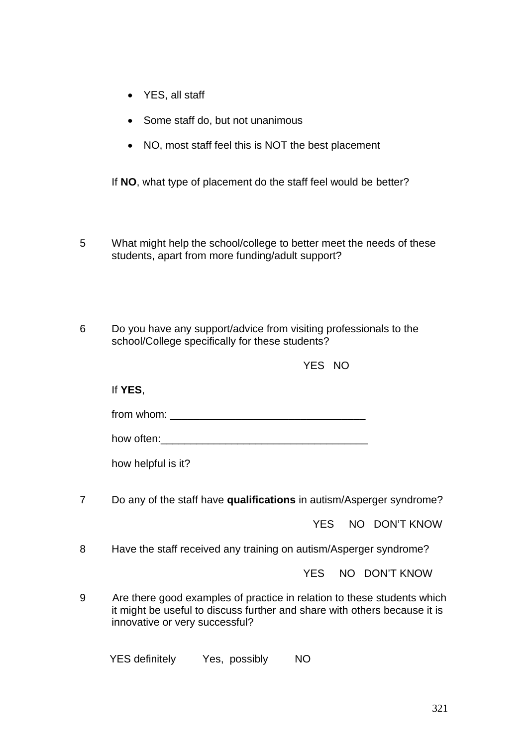- YES, all staff
- Some staff do, but not unanimous
- NO, most staff feel this is NOT the best placement

If **NO**, what type of placement do the staff feel would be better?

- 5 What might help the school/college to better meet the needs of these students, apart from more funding/adult support?
- 6 Do you have any support/advice from visiting professionals to the school/College specifically for these students?

YES NO

If **YES**,

from whom:

how often:

how helpful is it?

7 Do any of the staff have **qualifications** in autism/Asperger syndrome?

YES NO DON'T KNOW

8 Have the staff received any training on autism/Asperger syndrome?

YES NO DON'T KNOW

9 Are there good examples of practice in relation to these students which it might be useful to discuss further and share with others because it is innovative or very successful?

YES definitely Yes, possibly NO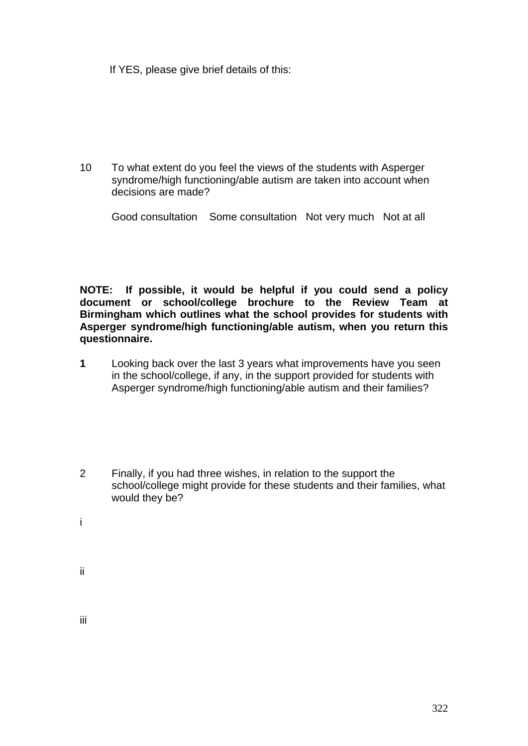If YES, please give brief details of this:

10 To what extent do you feel the views of the students with Asperger syndrome/high functioning/able autism are taken into account when decisions are made?

Good consultation Some consultation Not very much Not at all

**NOTE: If possible, it would be helpful if you could send a policy document or school/college brochure to the Review Team at Birmingham which outlines what the school provides for students with Asperger syndrome/high functioning/able autism, when you return this questionnaire.**

- **1** Looking back over the last 3 years what improvements have you seen in the school/college, if any, in the support provided for students with Asperger syndrome/high functioning/able autism and their families?
- 2 Finally, if you had three wishes, in relation to the support the school/college might provide for these students and their families, what would they be?
- i
- ii

iii